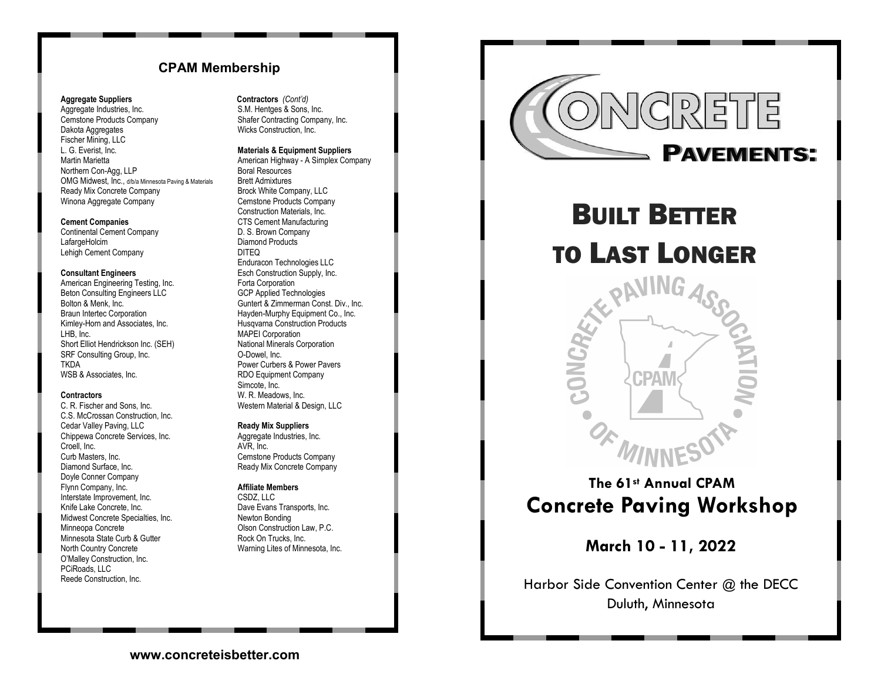# **CPAM Membership**

### **Aggregate Suppliers**

Aggregate Industries, Inc. Cemstone Products Company Dakota Aggregates Fischer Mining, LLC L. G. Everist, Inc. Martin Marietta Northern Con-Agg, LLP OMG Midwest, Inc., d/b/a Minnesota Paving & Materials Ready Mix Concrete Company Winona Aggregate Company

### **Cement Companies**

Continental Cement Company LafargeHolcim Lehigh Cement Company

### **Consultant Engineers**

American Engineering Testing, Inc. Beton Consulting Engineers LLC Bolton & Menk, Inc. Braun Intertec Corporation Kimley-Horn and Associates, Inc. LHB, Inc. Short Elliot Hendrickson Inc. (SEH) SRF Consulting Group, Inc. TKDA WSB & Associates, Inc.

#### **Contractors**

C. R. Fischer and Sons, Inc. C.S. McCrossan Construction, Inc. Cedar Valley Paving, LLC Chippewa Concrete Services, Inc. Croell, Inc. Curb Masters, Inc. Diamond Surface, Inc. Doyle Conner Company Flynn Company, Inc. Interstate Improvement, Inc. Knife Lake Concrete, Inc. Midwest Concrete Specialties, Inc. Minneopa Concrete Minnesota State Curb & Gutter North Country Concrete O'Malley Construction, Inc. PCiRoads, LLC Reede Construction, Inc.

**Contractors** *(Cont'd)* S.M. Hentges & Sons, Inc. Shafer Contracting Company, Inc. Wicks Construction, Inc.

**Materials & Equipment Suppliers** American Highway - A Simplex Company Boral Resources Brett Admixtures Brock White Company, LLC Cemstone Products Company Construction Materials, Inc. CTS Cement Manufacturing D. S. Brown Company Diamond Products DITEQ Enduracon Technologies LLC Esch Construction Supply, Inc. Forta Corporation GCP Applied Technologies Guntert & Zimmerman Const. Div., Inc. Hayden-Murphy Equipment Co., Inc. Husqvarna Construction Products MAPEI Corporation National Minerals Corporation O-Dowel, Inc. Power Curbers & Power Pavers RDO Equipment Company Simcote, Inc. W. R. Meadows, Inc. Western Material & Design, LLC

### **Ready Mix Suppliers**

Aggregate Industries, Inc. AVR, Inc. Cemstone Products Company Ready Mix Concrete Company

### **Affiliate Members**

CSDZ, LLC Dave Evans Transports, Inc. Newton Bonding Olson Construction Law, P.C. Rock On Trucks, Inc. Warning Lites of Minnesota, Inc.



# BUILT BETTER TO LAST LONGER

# ONING CONCRETE

# **The 61st Annual CPAM Concrete Paving Workshop**

**March 10 - 11, 2022**

Harbor Side Convention Center @ the DECC Duluth, Minnesota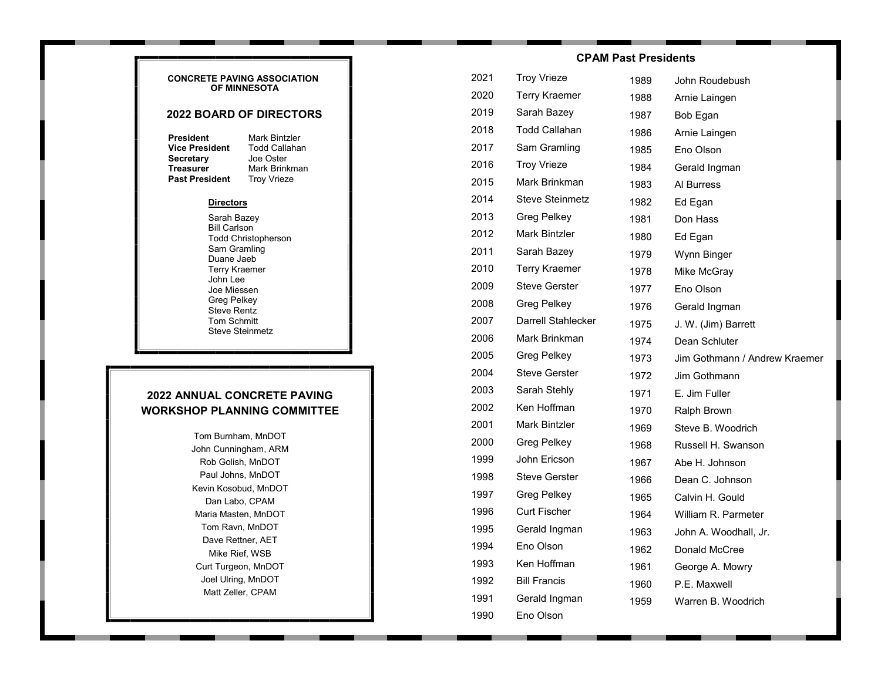### **CONCRETE PAVING ASSOCIATION OF MINNESOTA**

## **2022 BOARD OF DIRECTORS**

**President** Mark Bintzler<br>**Vice President** Todd Callahan **Vice President** Todd Calla<br>**Secretary** Joe Oster **Secretary Treasurer** Mark Brinkman **Past President** Troy Vrieze

**Directors**

Sarah Bazey Bill Carlson Todd Christopherson Sam Gramling Duane Jaeb Terry Kraemer John Lee Joe Miessen Greg Pelkey Steve Rentz Tom Schmitt Steve Steinmetz

## **2022 ANNUAL CONCRETE PAVING WORKSHOP PLANNING COMMITTEE**

Tom Burnham, MnDOT John Cunningham, ARM Rob Golish, MnDOT Paul Johns, MnDOT Kevin Kosobud, MnDOT Dan Labo, CPAM Maria Masten, MnDOT Tom Ravn, MnDOT Dave Rettner, AET Mike Rief, WSB Curt Turgeon, MnDOT Joel Ulring, MnDOT Matt Zeller, CPAM

| <b>CPAM Past Presidents</b> |                           |      |                               |  |  |  |
|-----------------------------|---------------------------|------|-------------------------------|--|--|--|
| 2021                        | <b>Troy Vrieze</b>        | 1989 | John Roudebush                |  |  |  |
| 2020                        | Terry Kraemer             | 1988 | Arnie Laingen                 |  |  |  |
| 2019                        | Sarah Bazey               | 1987 | Bob Egan                      |  |  |  |
| 2018                        | <b>Todd Callahan</b>      | 1986 | Arnie Laingen                 |  |  |  |
| 2017                        | Sam Gramling              | 1985 | Eno Olson                     |  |  |  |
| 2016                        | <b>Troy Vrieze</b>        | 1984 | Gerald Ingman                 |  |  |  |
| 2015                        | Mark Brinkman             | 1983 | Al Burress                    |  |  |  |
| 2014                        | <b>Steve Steinmetz</b>    | 1982 | Ed Egan                       |  |  |  |
| 2013                        | Greg Pelkey               | 1981 | Don Hass                      |  |  |  |
| 2012                        | Mark Bintzler             | 1980 | Ed Egan                       |  |  |  |
| 2011                        | Sarah Bazey               | 1979 | Wynn Binger                   |  |  |  |
| 2010                        | Terry Kraemer             | 1978 | Mike McGray                   |  |  |  |
| 2009                        | <b>Steve Gerster</b>      | 1977 | Eno Olson                     |  |  |  |
| 2008                        | Greg Pelkey               | 1976 | Gerald Ingman                 |  |  |  |
| 2007                        | <b>Darrell Stahlecker</b> | 1975 | J. W. (Jim) Barrett           |  |  |  |
| 2006                        | Mark Brinkman             | 1974 | Dean Schluter                 |  |  |  |
| 2005                        | <b>Greg Pelkey</b>        | 1973 | Jim Gothmann / Andrew Kraemer |  |  |  |
| 2004                        | <b>Steve Gerster</b>      | 1972 | Jim Gothmann                  |  |  |  |
| 2003                        | Sarah Stehly              | 1971 | E. Jim Fuller                 |  |  |  |
| 2002                        | Ken Hoffman               | 1970 | Ralph Brown                   |  |  |  |
| 2001                        | Mark Bintzler             | 1969 | Steve B. Woodrich             |  |  |  |
| 2000                        | Greg Pelkey               | 1968 | Russell H. Swanson            |  |  |  |
| 1999                        | John Ericson              | 1967 | Abe H. Johnson                |  |  |  |
| 1998                        | <b>Steve Gerster</b>      | 1966 | Dean C. Johnson               |  |  |  |
| 1997                        | Greg Pelkey               | 1965 | Calvin H. Gould               |  |  |  |
| 1996                        | <b>Curt Fischer</b>       | 1964 | William R. Parmeter           |  |  |  |
| 1995                        | Gerald Ingman             | 1963 | John A. Woodhall, Jr.         |  |  |  |
| 1994                        | Eno Olson                 | 1962 | Donald McCree                 |  |  |  |
| 1993                        | Ken Hoffman               | 1961 | George A. Mowry               |  |  |  |
| 1992                        | <b>Bill Francis</b>       | 1960 | P.E. Maxwell                  |  |  |  |
| 1991                        | Gerald Ingman             | 1959 | Warren B. Woodrich            |  |  |  |
| 1990                        | Eno Olson                 |      |                               |  |  |  |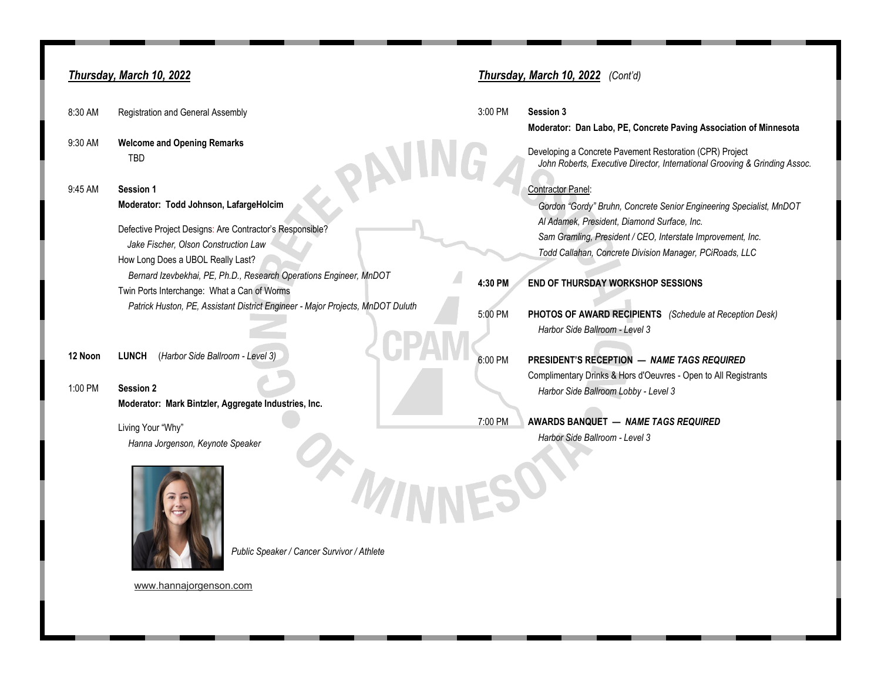|         | Thursday, March 10, 2022                                                                                                                                                                            |                    | Thursday, March 10, 2022 (Cont'd)                                                                                                                                                                                                                                        |
|---------|-----------------------------------------------------------------------------------------------------------------------------------------------------------------------------------------------------|--------------------|--------------------------------------------------------------------------------------------------------------------------------------------------------------------------------------------------------------------------------------------------------------------------|
| 8:30 AM | Registration and General Assembly                                                                                                                                                                   | 3:00 PM            | Session 3                                                                                                                                                                                                                                                                |
| 9:30 AM | <b>Welcome and Opening Remarks</b><br><b>TBD</b>                                                                                                                                                    |                    | Moderator: Dan Labo, PE, Concrete Paving Association of Minnesota<br>Developing a Concrete Pavement Restoration (CPR) Project<br>John Roberts, Executive Director, International Grooving & Grinding Assoc.                                                              |
| 9:45 AM | <b>Session 1</b><br>Moderator: Todd Johnson, LafargeHolcim<br>Defective Project Designs: Are Contractor's Responsible?<br>Jake Fischer, Olson Construction Law<br>How Long Does a UBOL Really Last? |                    | <b>Contractor Panel:</b><br>Gordon "Gordy" Bruhn, Concrete Senior Engineering Specialist, MnDOT<br>Al Adamek, President, Diamond Surface, Inc.<br>Sam Gramling, President / CEO, Interstate Improvement, Inc.<br>Todd Callahan, Concrete Division Manager, PCiRoads, LLC |
|         | Bernard Izevbekhai, PE, Ph.D., Research Operations Engineer, MnDOT<br>Twin Ports Interchange: What a Can of Worms<br>Patrick Huston, PE, Assistant District Engineer - Major Projects, MnDOT Duluth | 4:30 PM<br>5:00 PM | <b>END OF THURSDAY WORKSHOP SESSIONS</b><br>PHOTOS OF AWARD RECIPIENTS (Schedule at Reception Desk)<br>Harbor Side Ballroom - Level 3                                                                                                                                    |
| 12 Noon | (Harbor Side Ballroom - Level 3)<br><b>LUNCH</b>                                                                                                                                                    | 6:00 PM            | PRESIDENT'S RECEPTION - NAME TAGS REQUIRED<br>Complimentary Drinks & Hors d'Oeuvres - Open to All Registrants                                                                                                                                                            |
| 1:00 PM | Session 2<br>Moderator: Mark Bintzler, Aggregate Industries, Inc.                                                                                                                                   |                    | Harbor Side Ballroom Lobby - Level 3                                                                                                                                                                                                                                     |
|         | Living Your "Why"<br>Hanna Jorgenson, Keynote Speaker                                                                                                                                               | 7:00 PM            | AWARDS BANQUET - NAME TAGS REQUIRED<br>Harbor Side Ballroom - Level 3                                                                                                                                                                                                    |



 *Public Speaker / Cancer Survivor / Athlete*

[www.hannajorgenson.com](https://hannamariehughes.com/)